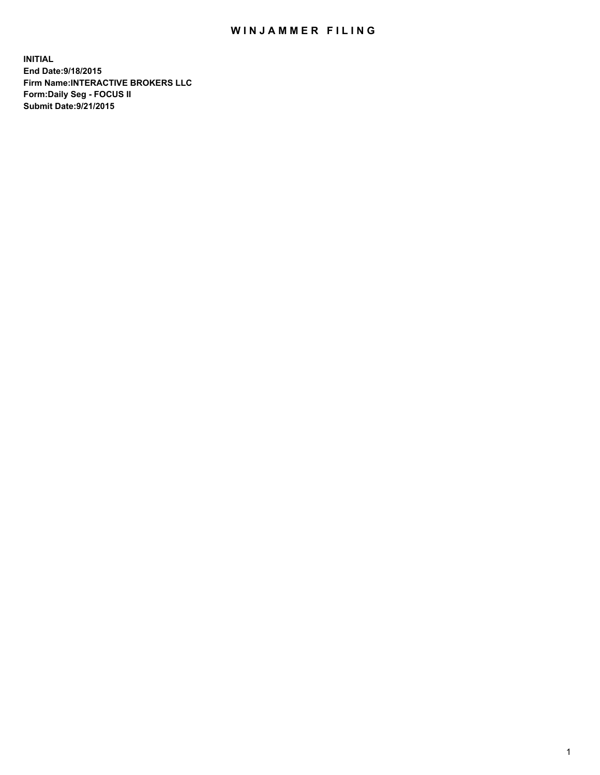## WIN JAMMER FILING

**INITIAL End Date:9/18/2015 Firm Name:INTERACTIVE BROKERS LLC Form:Daily Seg - FOCUS II Submit Date:9/21/2015**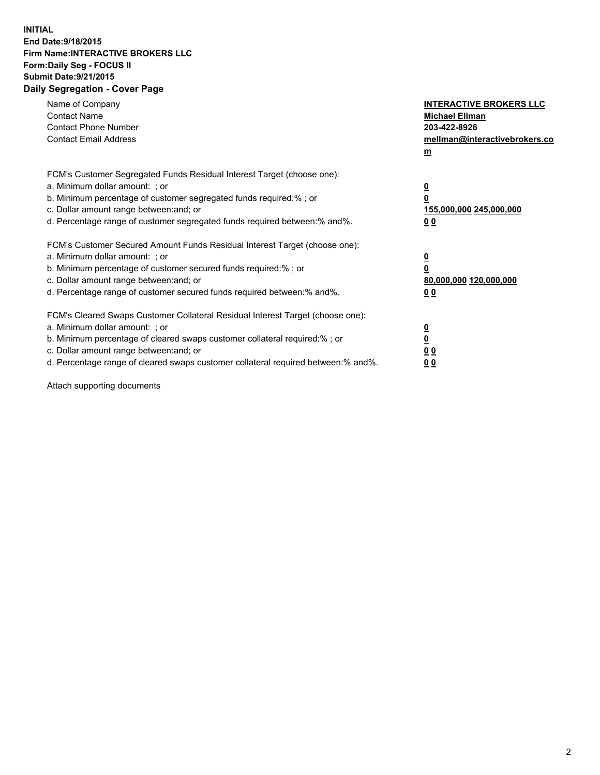## **INITIAL End Date:9/18/2015 Firm Name:INTERACTIVE BROKERS LLC Form:Daily Seg - FOCUS II Submit Date:9/21/2015 Daily Segregation - Cover Page**

| Name of Company<br><b>Contact Name</b><br><b>Contact Phone Number</b><br><b>Contact Email Address</b>                                                                                                                                                                                                                          | <b>INTERACTIVE BROKERS LLC</b><br><b>Michael Ellman</b><br>203-422-8926<br>mellman@interactivebrokers.co<br>$\mathbf{m}$ |
|--------------------------------------------------------------------------------------------------------------------------------------------------------------------------------------------------------------------------------------------------------------------------------------------------------------------------------|--------------------------------------------------------------------------------------------------------------------------|
| FCM's Customer Segregated Funds Residual Interest Target (choose one):<br>a. Minimum dollar amount: ; or<br>b. Minimum percentage of customer segregated funds required:% ; or<br>c. Dollar amount range between: and; or<br>d. Percentage range of customer segregated funds required between:% and%.                         | $\overline{\mathbf{0}}$<br>0<br>155,000,000 245,000,000<br><u>00</u>                                                     |
| FCM's Customer Secured Amount Funds Residual Interest Target (choose one):<br>a. Minimum dollar amount: ; or<br>b. Minimum percentage of customer secured funds required:%; or<br>c. Dollar amount range between: and; or<br>d. Percentage range of customer secured funds required between:% and%.                            | $\overline{\mathbf{0}}$<br>0<br>80,000,000 120,000,000<br>0 <sub>0</sub>                                                 |
| FCM's Cleared Swaps Customer Collateral Residual Interest Target (choose one):<br>a. Minimum dollar amount: ; or<br>b. Minimum percentage of cleared swaps customer collateral required:% ; or<br>c. Dollar amount range between: and; or<br>d. Percentage range of cleared swaps customer collateral required between:% and%. | $\overline{\mathbf{0}}$<br>$\overline{\mathbf{0}}$<br>0 <sub>0</sub><br>0 <sub>0</sub>                                   |

Attach supporting documents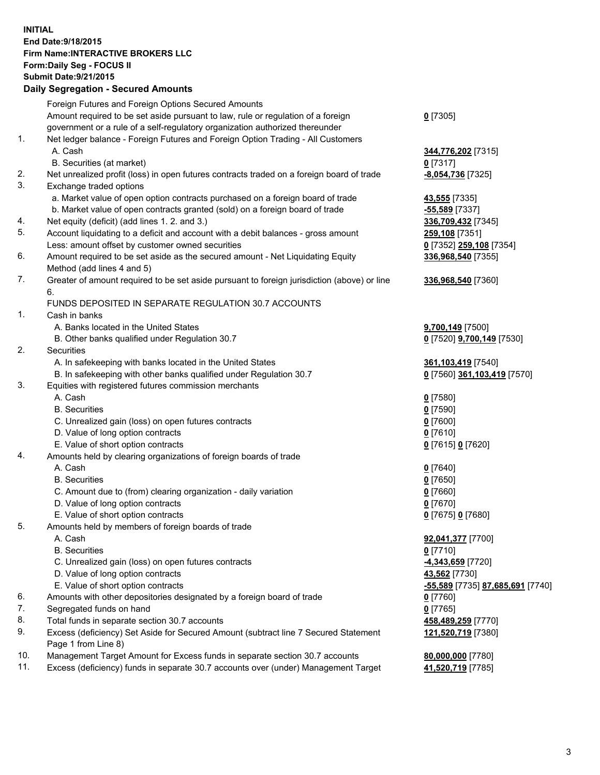## **INITIAL End Date:9/18/2015 Firm Name:INTERACTIVE BROKERS LLC Form:Daily Seg - FOCUS II Submit Date:9/21/2015 Daily Segregation - Secured Amounts**

|     | Daily Ocglegation - Occuled Amounts                                                                        |                                  |
|-----|------------------------------------------------------------------------------------------------------------|----------------------------------|
|     | Foreign Futures and Foreign Options Secured Amounts                                                        |                                  |
|     | Amount required to be set aside pursuant to law, rule or regulation of a foreign                           | $0$ [7305]                       |
|     | government or a rule of a self-regulatory organization authorized thereunder                               |                                  |
| 1.  | Net ledger balance - Foreign Futures and Foreign Option Trading - All Customers                            |                                  |
|     | A. Cash                                                                                                    | 344,776,202 [7315]               |
|     | B. Securities (at market)                                                                                  | $0$ [7317]                       |
| 2.  | Net unrealized profit (loss) in open futures contracts traded on a foreign board of trade                  | -8,054,736 [7325]                |
| 3.  | Exchange traded options                                                                                    |                                  |
|     | a. Market value of open option contracts purchased on a foreign board of trade                             | <b>43,555</b> [7335]             |
|     | b. Market value of open contracts granted (sold) on a foreign board of trade                               | $-55,589$ [7337]                 |
| 4.  | Net equity (deficit) (add lines 1. 2. and 3.)                                                              | 336,709,432 [7345]               |
| 5.  | Account liquidating to a deficit and account with a debit balances - gross amount                          | 259,108 [7351]                   |
|     | Less: amount offset by customer owned securities                                                           | 0 [7352] 259,108 [7354]          |
| 6.  | Amount required to be set aside as the secured amount - Net Liquidating Equity                             | 336,968,540 [7355]               |
|     | Method (add lines 4 and 5)                                                                                 |                                  |
| 7.  | Greater of amount required to be set aside pursuant to foreign jurisdiction (above) or line                | 336,968,540 [7360]               |
|     | 6.                                                                                                         |                                  |
|     | FUNDS DEPOSITED IN SEPARATE REGULATION 30.7 ACCOUNTS                                                       |                                  |
| 1.  | Cash in banks                                                                                              |                                  |
|     | A. Banks located in the United States                                                                      | 9,700,149 [7500]                 |
|     | B. Other banks qualified under Regulation 30.7                                                             | 0 [7520] 9,700,149 [7530]        |
| 2.  | Securities                                                                                                 |                                  |
|     | A. In safekeeping with banks located in the United States                                                  | 361,103,419 [7540]               |
|     | B. In safekeeping with other banks qualified under Regulation 30.7                                         | 0 [7560] 361,103,419 [7570]      |
| 3.  | Equities with registered futures commission merchants                                                      |                                  |
|     | A. Cash                                                                                                    | $0$ [7580]                       |
|     | <b>B.</b> Securities                                                                                       | $0$ [7590]                       |
|     | C. Unrealized gain (loss) on open futures contracts                                                        | $0$ [7600]                       |
|     | D. Value of long option contracts                                                                          | $0$ [7610]                       |
|     | E. Value of short option contracts                                                                         | 0 [7615] 0 [7620]                |
| 4.  | Amounts held by clearing organizations of foreign boards of trade                                          |                                  |
|     | A. Cash                                                                                                    | $0$ [7640]                       |
|     | <b>B.</b> Securities                                                                                       | $0$ [7650]                       |
|     | C. Amount due to (from) clearing organization - daily variation                                            | $0$ [7660]                       |
|     | D. Value of long option contracts                                                                          | $0$ [7670]                       |
|     | E. Value of short option contracts                                                                         | 0 [7675] 0 [7680]                |
| 5.  | Amounts held by members of foreign boards of trade                                                         |                                  |
|     | A. Cash                                                                                                    | 92,041,377 [7700]                |
|     | <b>B.</b> Securities                                                                                       | $0$ [7710]                       |
|     | C. Unrealized gain (loss) on open futures contracts                                                        | -4,343,659 [7720]                |
|     | D. Value of long option contracts                                                                          | 43,562 [7730]                    |
|     | E. Value of short option contracts                                                                         | -55,589 [7735] 87,685,691 [7740] |
| 6.  | Amounts with other depositories designated by a foreign board of trade                                     | 0 [7760]                         |
| 7.  | Segregated funds on hand                                                                                   | $0$ [7765]                       |
| 8.  | Total funds in separate section 30.7 accounts                                                              | 458,489,259 [7770]               |
| 9.  | Excess (deficiency) Set Aside for Secured Amount (subtract line 7 Secured Statement<br>Page 1 from Line 8) | 121,520,719 [7380]               |
| 10. | Management Target Amount for Excess funds in separate section 30.7 accounts                                | 80,000,000 [7780]                |
| 11. | Excess (deficiency) funds in separate 30.7 accounts over (under) Management Target                         | 41,520,719 [7785]                |
|     |                                                                                                            |                                  |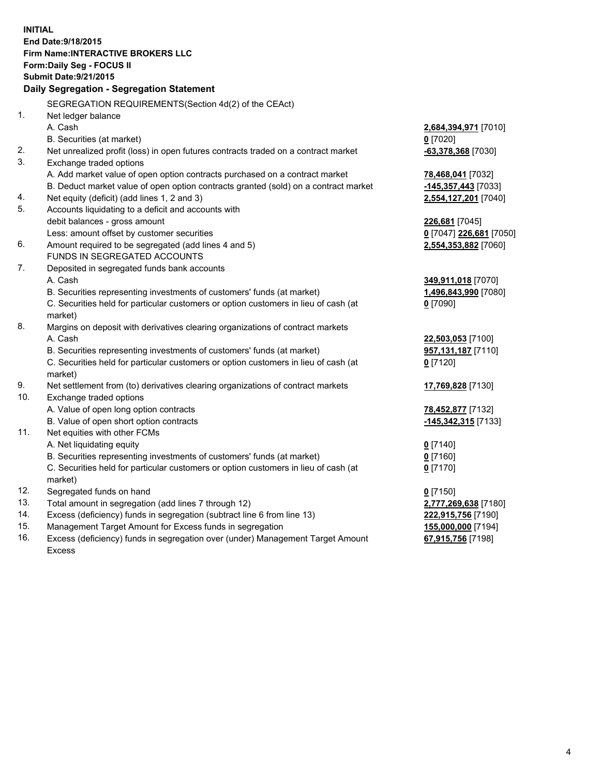**INITIAL End Date:9/18/2015 Firm Name:INTERACTIVE BROKERS LLC Form:Daily Seg - FOCUS II Submit Date:9/21/2015 Daily Segregation - Segregation Statement** SEGREGATION REQUIREMENTS(Section 4d(2) of the CEAct) 1. Net ledger balance A. Cash **2,684,394,971** [7010] B. Securities (at market) **0** [7020] 2. Net unrealized profit (loss) in open futures contracts traded on a contract market **-63,378,368** [7030] 3. Exchange traded options A. Add market value of open option contracts purchased on a contract market **78,468,041** [7032] B. Deduct market value of open option contracts granted (sold) on a contract market **-145,357,443** [7033] 4. Net equity (deficit) (add lines 1, 2 and 3) **2,554,127,201** [7040] 5. Accounts liquidating to a deficit and accounts with debit balances - gross amount **226,681** [7045] Less: amount offset by customer securities **0** [7047] **226,681** [7050] 6. Amount required to be segregated (add lines 4 and 5) **2,554,353,882** [7060] FUNDS IN SEGREGATED ACCOUNTS 7. Deposited in segregated funds bank accounts A. Cash **349,911,018** [7070] B. Securities representing investments of customers' funds (at market) **1,496,843,990** [7080] C. Securities held for particular customers or option customers in lieu of cash (at market) **0** [7090] 8. Margins on deposit with derivatives clearing organizations of contract markets A. Cash **22,503,053** [7100] B. Securities representing investments of customers' funds (at market) **957,131,187** [7110] C. Securities held for particular customers or option customers in lieu of cash (at market) **0** [7120] 9. Net settlement from (to) derivatives clearing organizations of contract markets **17,769,828** [7130] 10. Exchange traded options A. Value of open long option contracts **78,452,877** [7132] B. Value of open short option contracts **-145,342,315** [7133] 11. Net equities with other FCMs A. Net liquidating equity **0** [7140] B. Securities representing investments of customers' funds (at market) **0** [7160] C. Securities held for particular customers or option customers in lieu of cash (at market) **0** [7170] 12. Segregated funds on hand **0** [7150] 13. Total amount in segregation (add lines 7 through 12) **2,777,269,638** [7180] 14. Excess (deficiency) funds in segregation (subtract line 6 from line 13) **222,915,756** [7190] 15. Management Target Amount for Excess funds in segregation **155,000,000** [7194] 16. Excess (deficiency) funds in segregation over (under) Management Target Amount **67,915,756** [7198]

Excess